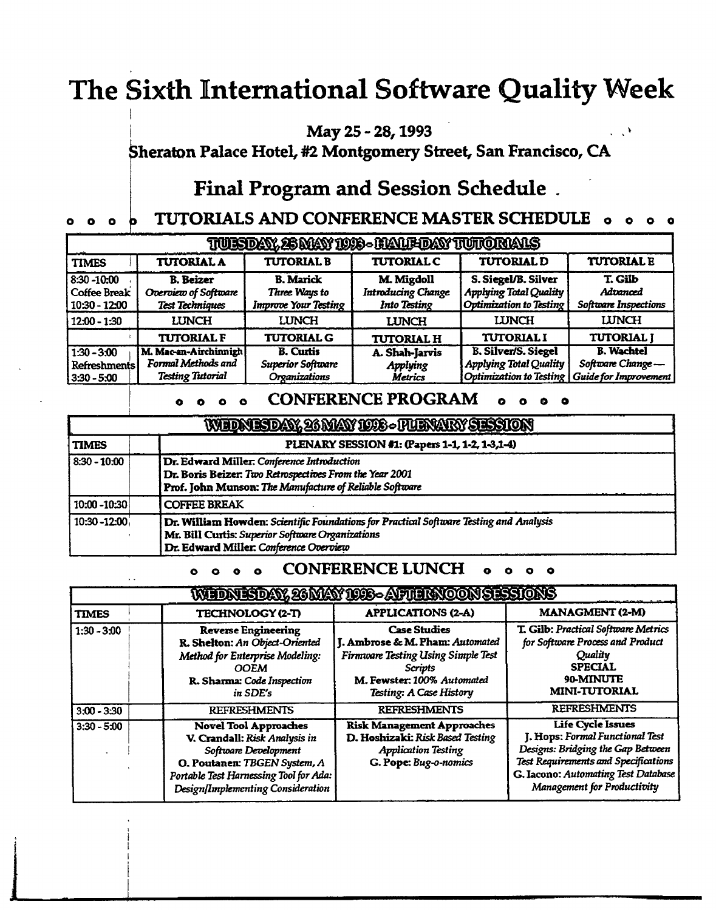# **The Sixth International Software Quality Week**

**May 25 - 28,1993** 

**heraton Palace Hotel, #2 Montgomery Street, San Francisco, CA** 

## **Final Program and Session Schedule .**

# 0 0 0 **TUTORIALS AND CONFERENCE MASTER SCHEDULE 0 o 0 0**

| TUISDAY, 25 MAY 1098 - HAMFDAY TUTORAMS               |                                                                        |                                                                  |                                                                |                                                                                               |                                                                |
|-------------------------------------------------------|------------------------------------------------------------------------|------------------------------------------------------------------|----------------------------------------------------------------|-----------------------------------------------------------------------------------------------|----------------------------------------------------------------|
| <b>TIMES</b>                                          | <b>TUTORIAL A</b>                                                      | <b>TUTORIAL B</b>                                                | <b>TUTORIAL C</b>                                              | <b>TUTORIAL D</b>                                                                             | <b>TUTORIAL E</b>                                              |
| $8:30 - 10:00$<br>Coffee Break<br>  10:30 - 12:00     | <b>B.</b> Beizer<br>Overview of Software<br><b>Test Techniques</b>     | <b>B.</b> Marick<br>Three Ways to<br><b>Improve Your Testing</b> | M. Migdoll<br><b>Introducing Change</b><br><b>Into Testing</b> | S. Siegel/B. Silver<br><b>Applying Total Quality</b><br><b>Optimization to Testing</b>        | T. Gilb<br>Advanced<br>Software Inspections                    |
| $12:00 - 1:30$                                        | <b>LUNCH</b>                                                           | <b>LUNCH</b>                                                     | <b>LUNCH</b>                                                   | <b>LUNCH</b>                                                                                  | <b>LUNCH</b>                                                   |
|                                                       | <b>TUTORIAL F</b>                                                      | <b>TUTORIAL G</b>                                                | <b>TUTORIAL H</b>                                              | <b>TUTORIAL I</b>                                                                             | <b>TUTORIAL J</b>                                              |
| $1:30 - 3:00$<br><b>Refreshments</b><br>$3:30 - 5:00$ | M. Mac-an-Airchinnigh<br>Formal Methods and<br><b>Testing Tutorial</b> | <b>B.</b> Curtis<br><b>Superior Software</b><br>Organizations    | A. Shah-Jarvis<br><b>Applying</b><br><b>Metrics</b>            | <b>B. Silver/S. Siegel</b><br><b>Applying Total Quality</b><br><b>Optimization to Testing</b> | <b>B.</b> Wachtel<br>Software Change-<br>Guide for Improvement |

### **CONFERENCE PROGRAM**  $\circ$   $\circ$   $\circ$   $\circ$

| WEDNESDAY, 26 MAY 1998 - FUENARY SESSION |                                                                                                                                                                                      |  |
|------------------------------------------|--------------------------------------------------------------------------------------------------------------------------------------------------------------------------------------|--|
| <b>TIMES</b>                             | PLENARY SESSION #1: (Papers 1-1, 1-2, 1-3,1-4)                                                                                                                                       |  |
| $8:30 - 10:00$                           | Dr. Edward Miller. Conference Introduction<br>Dr. Boris Beizer: Two Retrospectives From the Year 2001<br>Prof. John Munson: The Manufacture of Reliable Software                     |  |
| 10:00 -10:30                             | <b>COFFEE BREAK</b>                                                                                                                                                                  |  |
| $10:30 - 12:00$                          | Dr. William Howden: Scientific Foundations for Practical Software Testing and Analysis<br>Mr. Bill Curtis: Superior Software Organizations<br>Dr. Edward Miller: Conference Overview |  |

#### **CONFERENCE LUNCH**

|               |                                                                                                                                                                                                      | WEDNESDAY, 26 MAY 1008-APTERNOON SESSIONS                                                                                                                               |                                                                                                                                                                                                                |
|---------------|------------------------------------------------------------------------------------------------------------------------------------------------------------------------------------------------------|-------------------------------------------------------------------------------------------------------------------------------------------------------------------------|----------------------------------------------------------------------------------------------------------------------------------------------------------------------------------------------------------------|
| <b>TIMES</b>  | <b>TECHNOLOGY (2-T)</b>                                                                                                                                                                              | <b>APPLICATIONS (2-A)</b>                                                                                                                                               | <b>MANAGMENT (2-M)</b>                                                                                                                                                                                         |
| $1:30 - 3:00$ | <b>Reverse Engineering</b><br>R. Shelton: An Object-Oriented<br>Method for Enterprise Modeling:<br><b>OOEM</b><br>R. Sharma: Code Inspection<br>in SDE's                                             | <b>Case Studies</b><br>J. Ambrose & M. Pham: Automated<br>Firmware Testing Using Simple Test<br><b>Scripts</b><br>M. Fewster: 100% Automated<br>Testing: A Case History | T. Gilb: Practical Software Metrics<br>for Software Process and Product<br>Quality<br><b>SPECIAL</b><br>90-MINUTE<br><b>MINI-TUTORIAL</b>                                                                      |
| $3:00 - 3:30$ | <b>REFRESHMENTS</b>                                                                                                                                                                                  | <b>REFRESHMENTS</b>                                                                                                                                                     | <b>REFRESHMENTS</b>                                                                                                                                                                                            |
| $3:30 - 5:00$ | <b>Novel Tool Approaches</b><br>V. Crandall: Risk Analysis in<br>Software Development<br>O. Poutanen: TBGEN System, A<br>Portable Test Harnessing Tool for Ada:<br>Design/Implementing Consideration | <b>Risk Management Approaches</b><br>D. Hoshizaki: Risk Based Testing<br><b>Application Testing</b><br>G. Pope: Bug-o-nomics                                            | <b>Life Cycle Issues</b><br>J. Hops: Formal Functional Test<br>Designs: Bridging the Gap Between<br>Test Requirements and Specifications<br>G. Iacono: Automating Test Database<br>Management for Productivity |